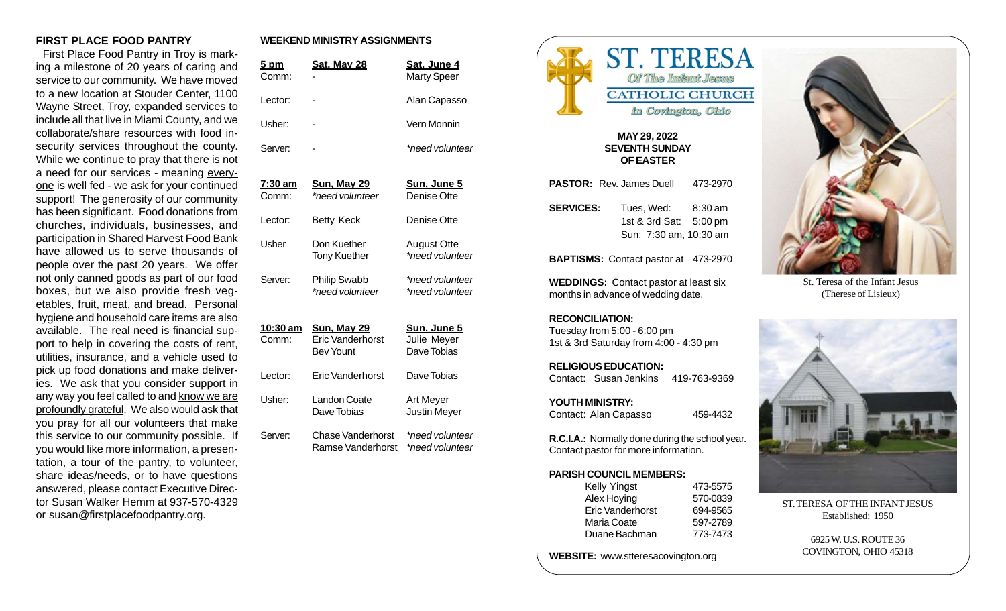#### **FIRST PLACE FOOD PANTRY**

 First Place Food Pantry in Troy is marking a milestone of 20 years of caring and service to our community. We have moved to a new location at Stouder Center, 1100 Wayne Street, Troy, expanded services to include all that live in Miami County, and we collaborate/share resources with food insecurity services throughout the county. While we continue to pray that there is not a need for our services - meaning everyone is well fed - we ask for your continued support! The generosity of our community has been significant. Food donations from churches, individuals, businesses, and participation in Shared Harvest Food Bank have allowed us to serve thousands of people over the past 20 years. We offer not only canned goods as part of our food boxes, but we also provide fresh vegetables, fruit, meat, and bread. Personal hygiene and household care items are also available. The real need is financial support to help in covering the costs of rent, utilities, insurance, and a vehicle used to pick up food donations and make deliveries. We ask that you consider support in any way you feel called to and know we are profoundly grateful. We also would ask that you pray for all our volunteers that make this service to our community possible. If you would like more information, a presentation, a tour of the pantry, to volunteer, share ideas/needs, or to have questions answered, please contact Executive Director Susan Walker Hemm at 937-570-4329 or susan@firstplacefoodpantry.org.

### **WEEKEND MINISTRY ASSIGNMENTS**

| <u>5 pm</u><br>Comm:     | <b>Sat, May 28</b>                                                | <u>Sat, June 4</u><br><b>Marty Speer</b>  |
|--------------------------|-------------------------------------------------------------------|-------------------------------------------|
| Lector:                  |                                                                   | Alan Capasso                              |
| Usher:                   |                                                                   | Vern Monnin                               |
| Server:                  |                                                                   | *need volunteer                           |
| <u>7:30 am</u><br>Comm:  | <u>Sun, May 29</u><br>*need volunteer                             | Sun, June 5<br>Denise Otte                |
| Lector:                  | <b>Betty Keck</b>                                                 | Denise Otte                               |
| Usher                    | Don Kuether<br><b>Tony Kuether</b>                                | <b>August Otte</b><br>*need volunteer     |
| Server:                  | <b>Philip Swabb</b><br>*need volunteer                            | *need volunteer<br>*need volunteer        |
| <u>10:30 am</u><br>Comm: | <b>Sun, May 29</b><br><b>Eric Vanderhorst</b><br><b>Bev Yount</b> | Sun, June 5<br>Julie Meyer<br>Dave Tobias |
| Lector:                  | Eric Vanderhorst                                                  | Dave Tobias                               |
| Usher:                   | <b>Landon Coate</b><br>Dave Tobias                                | Art Meyer<br>Justin Meyer                 |
| Server:                  | <b>Chase Vanderhorst</b><br><b>Ramse Vanderhorst</b>              | *need volunteer<br>*need volunteer        |



#### **MAY 29, 2022 SEVENTH SUNDAY OF EASTER**

|                                                                                                 | PASTOR: Rev. James Duell 473-2970                                      |          |  |  |
|-------------------------------------------------------------------------------------------------|------------------------------------------------------------------------|----------|--|--|
| <b>SERVICES:</b>                                                                                | Tues, Wed: 8:30 am<br>1st & 3rd Sat: 5:00 pm<br>Sun: 7:30 am, 10:30 am |          |  |  |
|                                                                                                 | BAPTISMS: Contact pastor at 473-2970                                   |          |  |  |
| <b>WEDDINGS:</b> Contact pastor at least six<br>months in advance of wedding date.              |                                                                        |          |  |  |
| <b>RECONCILIATION:</b><br>Tuesday from 5:00 - 6:00 pm<br>1st & 3rd Saturday from 4:00 - 4:30 pm |                                                                        |          |  |  |
| <b>RELIGIOUS EDUCATION:</b><br>Contact: Susan Jenkins 419-763-9369                              |                                                                        |          |  |  |
| YOUTH MINISTRY:<br>Contact: Alan Capasso                                                        |                                                                        | 459-4432 |  |  |
| R.C.I.A.: Normally done during the school year.                                                 |                                                                        |          |  |  |

# Contact pastor for more information. **PARISH COUNCIL MEMBERS:**

| Kelly Yingst     | 473-5575 |
|------------------|----------|
| Alex Hoying      | 570-0839 |
| Eric Vanderhorst | 694-9565 |
| Maria Coate      | 597-2789 |
| Duane Bachman    | 773-7473 |

**WEBSITE:** www.stteresacovington.org



St. Teresa of the Infant Jesus (Therese of Lisieux)



ST. TERESA OF THE INFANT JESUS Established: 1950

> 6925 W. U.S. ROUTE 36 COVINGTON, OHIO 45318